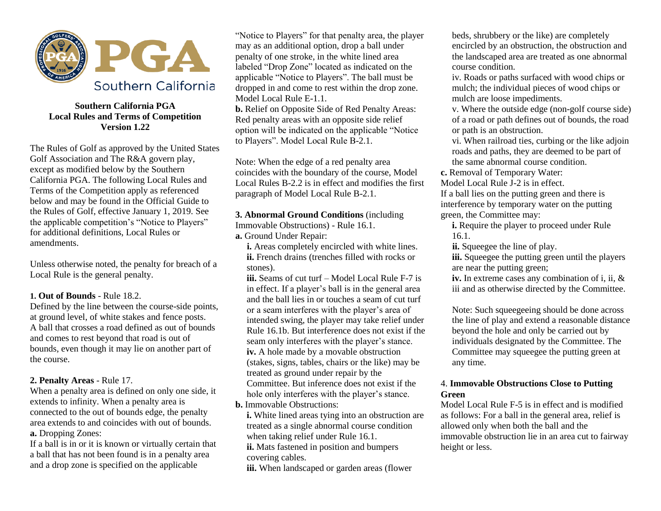

## **Southern California PGA Local Rules and Terms of Competition Version 1.22**

The Rules of Golf as approved by the United States Golf Association and The R&A govern play, except as modified below by the Southern California PGA. The following Local Rules and Terms of the Competition apply as referenced below and may be found in the Official Guide to the Rules of Golf, effective January 1, 2019. See the applicable competition's "Notice to Players" for additional definitions, Local Rules or amendments.

Unless otherwise noted, the penalty for breach of a Local Rule is the general penalty.

#### **1. Out of Bounds** - Rule 18.2.

Defined by the line between the course-side points, at ground level, of white stakes and fence posts. A ball that crosses a road defined as out of bounds and comes to rest beyond that road is out of bounds, even though it may lie on another part of the course.

#### **2. Penalty Areas** - Rule 17.

When a penalty area is defined on only one side, it extends to infinity. When a penalty area is connected to the out of bounds edge, the penalty area extends to and coincides with out of bounds. **a.** Dropping Zones:

If a ball is in or it is known or virtually certain that a ball that has not been found is in a penalty area and a drop zone is specified on the applicable

"Notice to Players" for that penalty area, the player may as an additional option, drop a ball under penalty of one stroke, in the white lined area labeled "Drop Zone" located as indicated on the applicable "Notice to Players". The ball must be dropped in and come to rest within the drop zone. Model Local Rule E-1.1.

**b.** Relief on Opposite Side of Red Penalty Areas: Red penalty areas with an opposite side relief option will be indicated on the applicable "Notice to Players". Model Local Rule B-2.1.

Note: When the edge of a red penalty area coincides with the boundary of the course, Model Local Rules B-2.2 is in effect and modifies the first paragraph of Model Local Rule B-2.1.

# **3. Abnormal Ground Conditions** (including

Immovable Obstructions) - Rule 16.1.

**a.** Ground Under Repair:

 **i.** Areas completely encircled with white lines. **ii.** French drains (trenches filled with rocks or stones).

**iii.** Seams of cut turf – Model Local Rule F-7 is in effect. If a player's ball is in the general area and the ball lies in or touches a seam of cut turf or a seam interferes with the player's area of intended swing, the player may take relief under Rule 16.1b. But interference does not exist if the seam only interferes with the player's stance. **iv.** A hole made by a movable obstruction (stakes, signs, tables, chairs or the like) may be treated as ground under repair by the Committee. But inference does not exist if the hole only interferes with the player's stance. **b.** Immovable Obstructions:

**i.** White lined areas tying into an obstruction are treated as a single abnormal course condition when taking relief under Rule 16.1.

**ii.** Mats fastened in position and bumpers covering cables.

**iii.** When landscaped or garden areas (flower

beds, shrubbery or the like) are completely encircled by an obstruction, the obstruction and the landscaped area are treated as one abnormal course condition.

iv. Roads or paths surfaced with wood chips or mulch; the individual pieces of wood chips or mulch are loose impediments.

v. Where the outside edge (non-golf course side) of a road or path defines out of bounds, the road or path is an obstruction.

vi. When railroad ties, curbing or the like adjoin roads and paths, they are deemed to be part of the same abnormal course condition.

**c.** Removal of Temporary Water:

Model Local Rule J-2 is in effect.

If a ball lies on the putting green and there is interference by temporary water on the putting green, the Committee may:

**i.** Require the player to proceed under Rule 16.1.

**ii.** Squeegee the line of play.

**iii.** Squeegee the putting green until the players are near the putting green;

**iv.** In extreme cases any combination of i, ii, & iii and as otherwise directed by the Committee.

Note: Such squeegeeing should be done across the line of play and extend a reasonable distance beyond the hole and only be carried out by individuals designated by the Committee. The Committee may squeegee the putting green at any time.

#### 4. **Immovable Obstructions Close to Putting Green**

Model Local Rule F-5 is in effect and is modified as follows: For a ball in the general area, relief is allowed only when both the ball and the immovable obstruction lie in an area cut to fairway height or less.